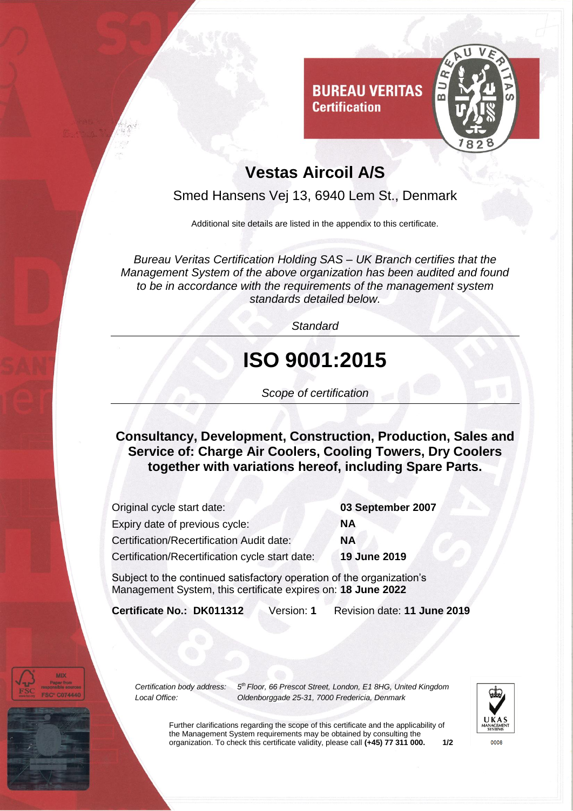

## **Vestas Aircoil A/S**

Smed Hansens Vej 13, 6940 Lem St., Denmark

Additional site details are listed in the appendix to this certificate.

*Bureau Veritas Certification Holding SAS – UK Branch certifies that the Management System of the above organization has been audited and found to be in accordance with the requirements of the management system standards detailed below.*

*Standard*

## **ISO 9001:2015**

*Scope of certification*

**Consultancy, Development, Construction, Production, Sales and Service of: Charge Air Coolers, Cooling Towers, Dry Coolers together with variations hereof, including Spare Parts.** 

| Original cycle start date:                       | 03 September 2007 |
|--------------------------------------------------|-------------------|
| Expiry date of previous cycle:                   | ΝA                |
| <b>Certification/Recertification Audit date:</b> | <b>NA</b>         |
| Certification/Recertification cycle start date:  | 19 June 2019      |
|                                                  |                   |

Subject to the continued satisfactory operation of the organization's Management System, this certificate expires on: **18 June 2022**

**Certificate No.: DK011312** Version: **1** Revision date: **11 June 2019**

*Certification body address: 5*

*th Floor, 66 Prescot Street, London, E1 8HG, United Kingdom Local Office: Oldenborggade 25-31, 7000 Fredericia, Denmark*



Further clarifications regarding the scope of this certificate and the applicability of the Management System requirements may be obtained by consulting the organization. To check this certificate validity, please call **(+45) 77 311 000. 1/2**